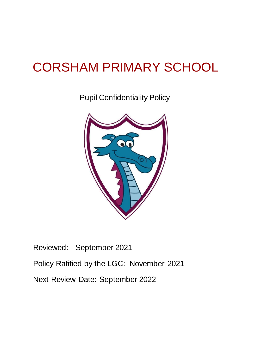# CORSHAM PRIMARY SCHOOL

Pupil Confidentiality Policy



Reviewed: September 2021 Policy Ratified by the LGC: November 2021 Next Review Date: September 2022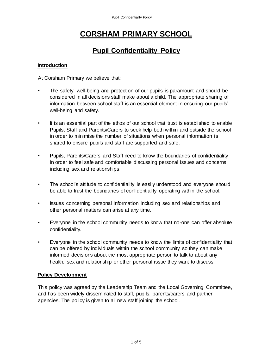# **CORSHAM PRIMARY SCHOOL**

# **Pupil Confidentiality Policy**

# **Introduction**

At Corsham Primary we believe that:

- The safety, well-being and protection of our pupils is paramount and should be considered in all decisions staff make about a child. The appropriate sharing of information between school staff is an essential element in ensuring our pupils' well-being and safety.
- It is an essential part of the ethos of our school that trust is established to enable Pupils, Staff and Parents/Carers to seek help both within and outside the school in order to minimise the number of situations when personal information is shared to ensure pupils and staff are supported and safe.
- Pupils, Parents/Carers and Staff need to know the boundaries of confidentiality in order to feel safe and comfortable discussing personal issues and concerns, including sex and relationships.
- The school's attitude to confidentiality is easily understood and everyone should be able to trust the boundaries of confidentiality operating within the school.
- Issues concerning personal information including sex and relationships and other personal matters can arise at any time.
- Everyone in the school community needs to know that no-one can offer absolute confidentiality.
- Everyone in the school community needs to know the limits of confidentiality that can be offered by individuals within the school community so they can make informed decisions about the most appropriate person to talk to about any health, sex and relationship or other personal issue they want to discuss.

# **Policy Development**

This policy was agreed by the Leadership Team and the Local Governing Committee, and has been widely disseminated to staff, pupils, parents/carers and partner agencies. The policy is given to all new staff joining the school.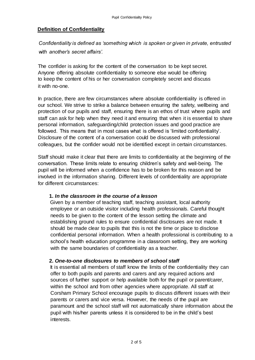# **Definition of Confidentiality**

*Confidentiality is defined as 'something which is spoken or given in private, entrusted with another's secret affairs'.* 

The confider is asking for the content of the conversation to be kept secret. Anyone offering absolute confidentiality to someone else would be offering to keep the content of his or her conversation completely secret and discuss it with no-one.

In practice, there are few circumstances where absolute confidentiality is offered in our school. We strive to strike a balance between ensuring the safety, wellbeing and protection of our pupils and staff, ensuring there is an ethos of trust where pupils and staff can ask for help when they need it and ensuring that when it is essential to share personal information, safeguarding/child protection issues and good practice are followed. This means that in most cases what is offered is 'limited confidentiality'. Disclosure of the content of a conversation could be discussed with professional colleagues, but the confider would not be identified except in certain circumstances.

Staff should make it clear that there are limits to confidentiality at the beginning of the conversation. These limits relate to ensuring children's safety and well-being. The pupil will be informed when a confidence has to be broken for this reason and be involved in the information sharing. Different levels of confidentiality are appropriate for different circumstances:

# **1.** *In the classroom in the course of a lesson*

Given by a member of teaching staff, teaching assistant, local authority employee or an outside visitor including health professionals. Careful thought needs to be given to the content of the lesson setting the climate and establishing ground rules to ensure confidential disclosures are not made. It should be made clear to pupils that this is not the time or place to disclose confidential personal information. When a health professional is contributing to a school's health education programme in a classroom setting, they are working with the same boundaries of confidentiality as a teacher.

#### **2.** *One-to-one disclosures to members of school staff*

It is essential all members of staff know the limits of the confidentiality they can offer to both pupils and parents and carers and any required actions and sources of further support or help available both for the pupil or parent/carer, within the school and from other agencies where appropriate. All staff at Corsham Primary School encourage pupils to discuss different issues with their parents or carers and vice versa. However, the needs of the pupil are paramount and the school staff will not automatically share information about the pupil with his/her parents unless it is considered to be in the child's best interests.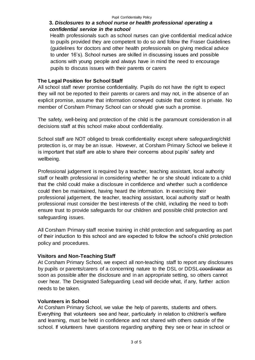#### Pupil Confidentiality Policy

# **3.** *Disclosures to a school nurse or health professional operating a confidential service in the school*

Health professionals such as school nurses can give confidential medical advice to pupils provided they are competent to do so and follow the Fraser Guidelines (guidelines for doctors and other health professionals on giving medical advice to under 16's). School nurses are skilled in discussing issues and possible actions with young people and always have in mind the need to encourage pupils to discuss issues with their parents or carers

# **The Legal Position for School Staff**

All school staff never promise confidentiality. Pupils do not have the right to expect they will not be reported to their parents or carers and may not, in the absence of an explicit promise, assume that information conveyed outside that context is private. No member of Corsham Primary School can or should give such a promise.

The safety, well-being and protection of the child is the paramount consideration in all decisions staff at this school make about confidentiality.

School staff are NOT obliged to break confidentiality except where safeguarding/child protection is, or may be an issue. However, at Corsham Primary School we believe it is important that staff are able to share their concerns about pupils' safety and wellbeing.

Professional judgement is required by a teacher, teaching assistant, local authority staff or health professional in considering whether he or she should indicate to a child that the child could make a disclosure in confidence and whether such a confidence could then be maintained, having heard the information. In exercising their professional judgement, the teacher, teaching assistant, local authority staff or health professional must consider the best interests of the child, including the need to both ensure trust to provide safeguards for our children and possible child protection and safeguarding issues.

All Corsham Primary staff receive training in child protection and safeguarding as part of their induction to this school and are expected to follow the school's child protection policy and procedures.

# **Visitors and Non-Teaching Staff**

At Corsham Primary School, we expect all non-teaching staff to report any disclosures by pupils or parents/carers of a concerning nature to the DSL or DDSL coordinator as soon as possible after the disclosure and in an appropriate setting, so others cannot over hear. The Designated Safeguarding Lead will decide what, if any, further action needs to be taken.

# **Volunteers in School**

At Corsham Primary School, we value the help of parents, students and others. Everything that volunteers see and hear, particularly in relation to children's welfare and learning, must be held in confidence and not shared with others outside of the school. If volunteers have questions regarding anything they see or hear in school or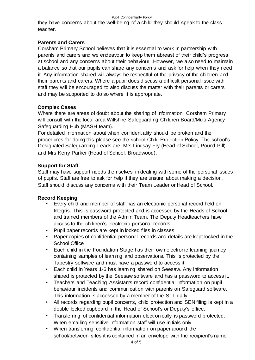#### Pupil Confidentiality Policy

they have concerns about the well-being of a child they should speak to the class teacher.

# **Parents and Carers**

Corsham Primary School believes that it is essential to work in partnership with parents and carers and we endeavour to keep them abreast of their child's progress at school and any concerns about their behaviour. However, we also need to maintain a balance so that our pupils can share any concerns and ask for help when they need it. Any information shared will always be respectful of the privacy of the children and their parents and carers. Where a pupil does discuss a difficult personal issue with staff they will be encouraged to also discuss the matter with their parents or carers and may be supported to do so where it is appropriate.

# **Complex Cases**

Where there are areas of doubt about the sharing of information, Corsham Primary will consult with the local area Wiltshire Safeguarding Children Board/Multi Agency Safeguarding Hub (MASH team).

For detailed information about when confidentiality should be broken and the procedures for doing this please see the school Child Protection Policy. The school's Designated Safeguarding Leads are: Mrs Lindsay Fry (Head of School, Pound Pill) and Mrs Kerry Parker (Head of School, Broadwood).

# **Support for Staff**

Staff may have support needs themselves in dealing with some of the personal issues of pupils. Staff are free to ask for help if they are unsure about making a decision. Staff should discuss any concerns with their Team Leader or Head of School.

# **Record Keeping**

- Every child and member of staff has an electronic personal record held on Integris. This is password protected and is accessed by the Heads of School and trained members of the Admin Team. The Deputy Headteachers have access to the children's electronic personal records.
- Pupil paper records are kept in locked files in classes
- Paper copies of confidential personel records and details are kept locked in the School Office
- Each child in the Foundation Stage has their own electronic learning journey containing samples of learning and observations. This is protected by the Tapestry software and must have a password to access it
- Each child in Years 1-6 has learning shared on Seesaw. Any information shared is protected by the Seesaw software and has a password to access it.
- Teachers and Teaching Assistants record confidential information on pupil behaviour incidents and communication with parents on Safeguard software. This information is accessed by a member of the SLT daily.
- All records regarding pupil concerns, child protection and SEN filing is kept in a double locked cupboard in the Head of School's or Deputy's office.
- Transferring of confidential information electronically is password protected. When emailing sensitive information staff will use initials only
- When transferring confidential information on paper around the school/between sites it is contained in an envelope with the recipient's name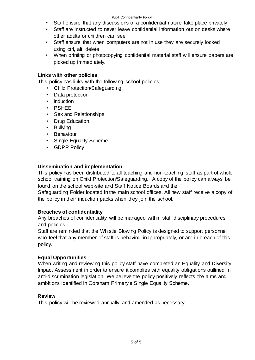- Staff ensure that any discussions of a confidential nature take place privately
- Staff are instructed to never leave confidential information out on desks where other adults or children can see
- Staff ensure that when computers are not in use they are securely locked using ctrl, alt, delete
- When printing or photocopying confidential material staff will ensure papers are picked up immediately.

# **Links with other policies**

This policy has links with the following school policies:

- Child Protection/Safeguarding
- Data protection
- Induction
- PSHEE
- Sex and Relationships
- Drug Education
- Bullying
- Behaviour
- Single Equality Scheme
- GDPR Policy

# **Dissemination and implementation**

This policy has been distributed to all teaching and non-teaching staff as part of whole school training on Child Protection/Safeguarding. A copy of the policy can always be found on the school web-site and Staff Notice Boards and the

Safeguarding Folder located in the main school offices. All new staff receive a copy of the policy in their induction packs when they join the school.

# **Breaches of confidentiality**

Any breaches of confidentiality will be managed within staff disciplinary procedures and policies.

Staff are reminded that the Whistle Blowing Policy is designed to support personnel who feel that any member of staff is behaving inappropriately, or are in breach of this policy.

# **Equal Opportunities**

When writing and reviewing this policy staff have completed an Equality and Diversity Impact Assessment in order to ensure it complies with equality obligations outlined in anti-discrimination legislation. We believe the policy positively reflects the aims and ambitions identified in Corsham Primary's Single Equality Scheme.

# **Review**

This policy will be reviewed annually and amended as necessary.